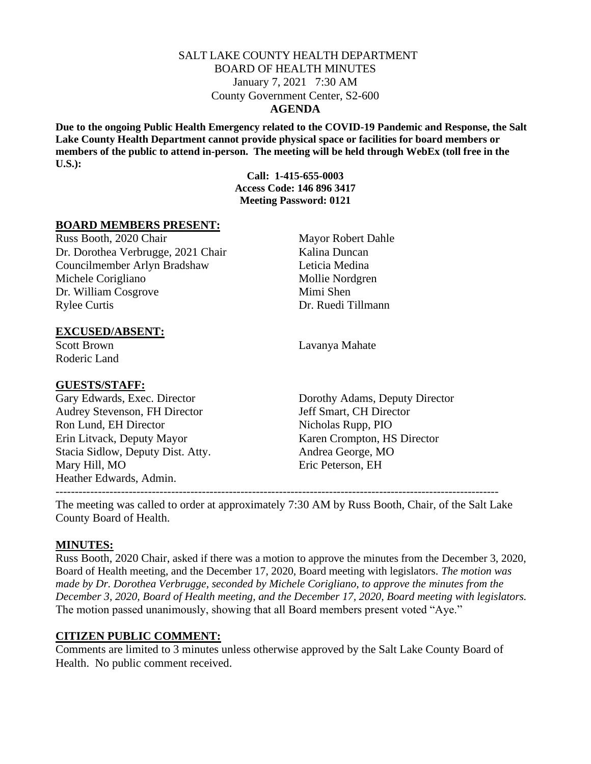## SALT LAKE COUNTY HEALTH DEPARTMENT BOARD OF HEALTH MINUTES January 7, 2021 7:30 AM County Government Center, S2-600 **AGENDA**

**Due to the ongoing Public Health Emergency related to the COVID-19 Pandemic and Response, the Salt Lake County Health Department cannot provide physical space or facilities for board members or members of the public to attend in-person. The meeting will be held through WebEx (toll free in the U.S.):**

> **Call: 1-415-655-0003 Access Code: 146 896 3417 Meeting Password: 0121**

## **BOARD MEMBERS PRESENT:**

Russ Booth, 2020 Chair Mayor Robert Dahle Dr. Dorothea Verbrugge, 2021 Chair Kalina Duncan Councilmember Arlyn Bradshaw Leticia Medina Michele Corigliano Mollie Nordgren Dr. William Cosgrove Mimi Shen Rylee Curtis Dr. Ruedi Tillmann

**EXCUSED/ABSENT:**

Roderic Land

#### **GUESTS/STAFF:**

Audrey Stevenson, FH Director Jeff Smart, CH Director Ron Lund, EH Director Nicholas Rupp, PIO Erin Litvack, Deputy Mayor Karen Crompton, HS Director Stacia Sidlow, Deputy Dist. Atty. Andrea George, MO Mary Hill, MO Eric Peterson, EH Heather Edwards, Admin.

Scott Brown Lavanya Mahate

Gary Edwards, Exec. Director Dorothy Adams, Deputy Director

The meeting was called to order at approximately 7:30 AM by Russ Booth, Chair, of the Salt Lake County Board of Health.

-------------------------------------------------------------------------------------------------------------------

## **MINUTES:**

Russ Booth, 2020 Chair, asked if there was a motion to approve the minutes from the December 3, 2020, Board of Health meeting, and the December 17, 2020, Board meeting with legislators. *The motion was made by Dr. Dorothea Verbrugge, seconded by Michele Corigliano, to approve the minutes from the December 3, 2020, Board of Health meeting, and the December 17, 2020, Board meeting with legislators.*  The motion passed unanimously, showing that all Board members present voted "Aye."

## **CITIZEN PUBLIC COMMENT:**

Comments are limited to 3 minutes unless otherwise approved by the Salt Lake County Board of Health. No public comment received.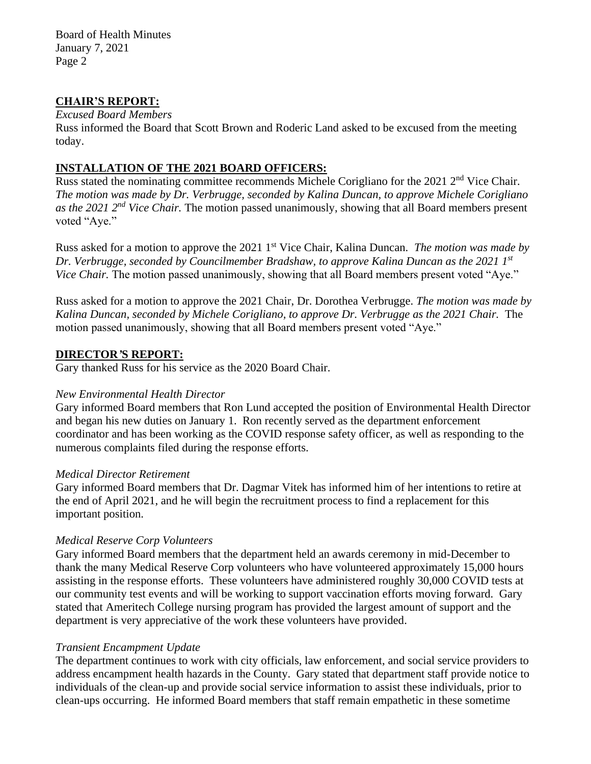Board of Health Minutes January 7, 2021 Page 2

## **CHAIR'S REPORT:**

## *Excused Board Members*

Russ informed the Board that Scott Brown and Roderic Land asked to be excused from the meeting today.

## **INSTALLATION OF THE 2021 BOARD OFFICERS:**

Russ stated the nominating committee recommends Michele Corigliano for the 2021 2<sup>nd</sup> Vice Chair. *The motion was made by Dr. Verbrugge, seconded by Kalina Duncan, to approve Michele Corigliano as the 2021 2nd Vice Chair.* The motion passed unanimously, showing that all Board members present voted "Aye."

Russ asked for a motion to approve the 2021 1st Vice Chair, Kalina Duncan. *The motion was made by Dr. Verbrugge, seconded by Councilmember Bradshaw, to approve Kalina Duncan as the 2021 1st Vice Chair.* The motion passed unanimously, showing that all Board members present voted "Aye."

Russ asked for a motion to approve the 2021 Chair, Dr. Dorothea Verbrugge. *The motion was made by Kalina Duncan, seconded by Michele Corigliano, to approve Dr. Verbrugge as the 2021 Chair.* The motion passed unanimously, showing that all Board members present voted "Aye."

## **DIRECTOR***'***S REPORT:**

Gary thanked Russ for his service as the 2020 Board Chair.

## *New Environmental Health Director*

Gary informed Board members that Ron Lund accepted the position of Environmental Health Director and began his new duties on January 1. Ron recently served as the department enforcement coordinator and has been working as the COVID response safety officer, as well as responding to the numerous complaints filed during the response efforts.

## *Medical Director Retirement*

Gary informed Board members that Dr. Dagmar Vitek has informed him of her intentions to retire at the end of April 2021, and he will begin the recruitment process to find a replacement for this important position.

## *Medical Reserve Corp Volunteers*

Gary informed Board members that the department held an awards ceremony in mid-December to thank the many Medical Reserve Corp volunteers who have volunteered approximately 15,000 hours assisting in the response efforts. These volunteers have administered roughly 30,000 COVID tests at our community test events and will be working to support vaccination efforts moving forward. Gary stated that Ameritech College nursing program has provided the largest amount of support and the department is very appreciative of the work these volunteers have provided.

## *Transient Encampment Update*

The department continues to work with city officials, law enforcement, and social service providers to address encampment health hazards in the County. Gary stated that department staff provide notice to individuals of the clean-up and provide social service information to assist these individuals, prior to clean-ups occurring. He informed Board members that staff remain empathetic in these sometime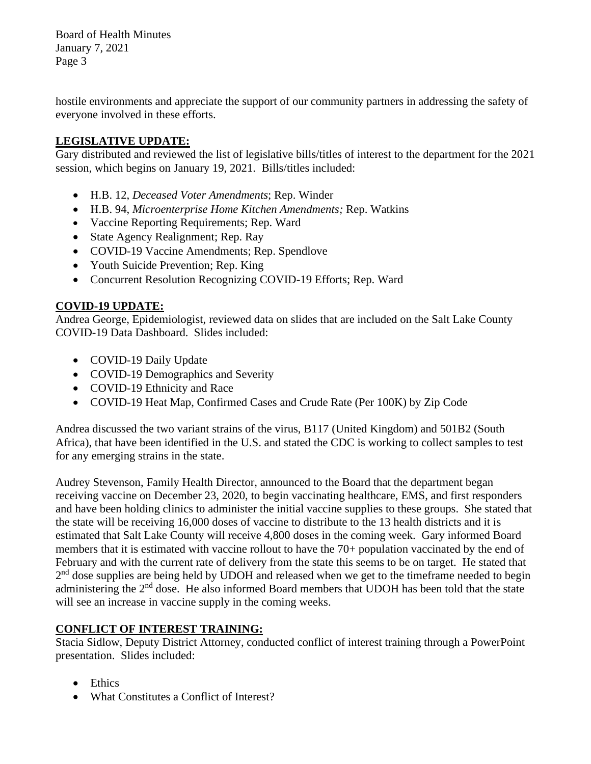Board of Health Minutes January 7, 2021 Page 3

hostile environments and appreciate the support of our community partners in addressing the safety of everyone involved in these efforts.

# **LEGISLATIVE UPDATE:**

Gary distributed and reviewed the list of legislative bills/titles of interest to the department for the 2021 session, which begins on January 19, 2021. Bills/titles included:

- H.B. 12, *Deceased Voter Amendments*; Rep. Winder
- H.B. 94, *Microenterprise Home Kitchen Amendments;* Rep. Watkins
- Vaccine Reporting Requirements; Rep. Ward
- State Agency Realignment; Rep. Ray
- COVID-19 Vaccine Amendments; Rep. Spendlove
- Youth Suicide Prevention; Rep. King
- Concurrent Resolution Recognizing COVID-19 Efforts; Rep. Ward

## **COVID-19 UPDATE:**

Andrea George, Epidemiologist, reviewed data on slides that are included on the Salt Lake County COVID-19 Data Dashboard. Slides included:

- COVID-19 Daily Update
- COVID-19 Demographics and Severity
- COVID-19 Ethnicity and Race
- COVID-19 Heat Map, Confirmed Cases and Crude Rate (Per 100K) by Zip Code

Andrea discussed the two variant strains of the virus, B117 (United Kingdom) and 501B2 (South Africa), that have been identified in the U.S. and stated the CDC is working to collect samples to test for any emerging strains in the state.

Audrey Stevenson, Family Health Director, announced to the Board that the department began receiving vaccine on December 23, 2020, to begin vaccinating healthcare, EMS, and first responders and have been holding clinics to administer the initial vaccine supplies to these groups. She stated that the state will be receiving 16,000 doses of vaccine to distribute to the 13 health districts and it is estimated that Salt Lake County will receive 4,800 doses in the coming week. Gary informed Board members that it is estimated with vaccine rollout to have the 70+ population vaccinated by the end of February and with the current rate of delivery from the state this seems to be on target. He stated that 2<sup>nd</sup> dose supplies are being held by UDOH and released when we get to the timeframe needed to begin administering the 2<sup>nd</sup> dose. He also informed Board members that UDOH has been told that the state will see an increase in vaccine supply in the coming weeks.

# **CONFLICT OF INTEREST TRAINING:**

Stacia Sidlow, Deputy District Attorney, conducted conflict of interest training through a PowerPoint presentation. Slides included:

- Ethics
- What Constitutes a Conflict of Interest?